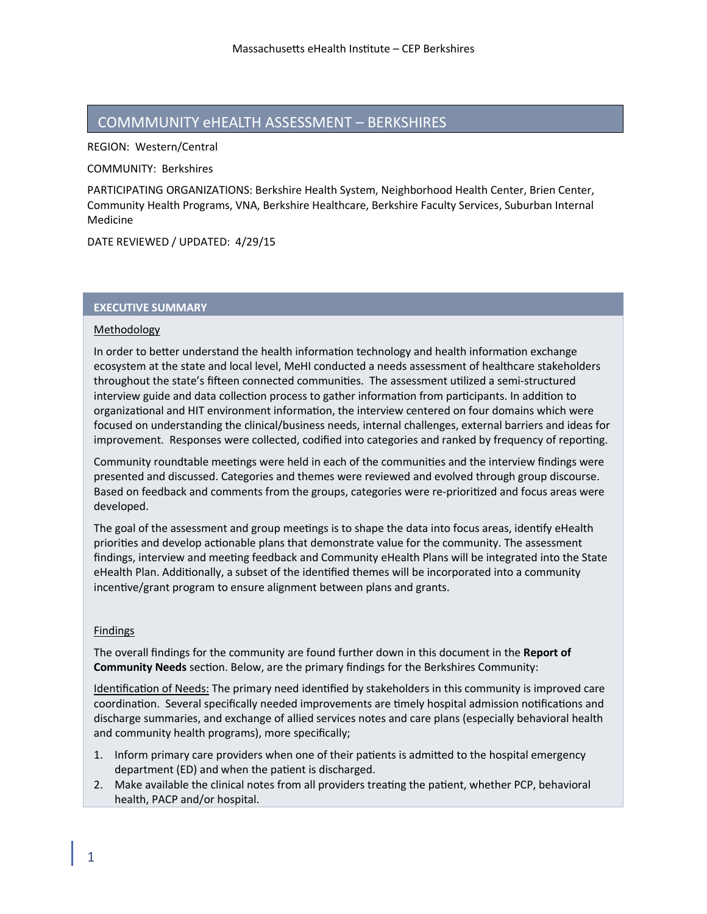# COMMMUNITY eHEALTH ASSESSMENT – BERKSHIRES

REGION: Western/Central

COMMUNITY: Berkshires

PARTICIPATING ORGANIZATIONS: Berkshire Health System, Neighborhood Health Center, Brien Center, Community Health Programs, VNA, Berkshire Healthcare, Berkshire Faculty Services, Suburban Internal Medicine

DATE REVIEWED / UPDATED: 4/29/15

### **EXECUTIVE SUMMARY**

#### **Methodology**

In order to better understand the health information technology and health information exchange ecosystem at the state and local level, MeHI conducted a needs assessment of healthcare stakeholders throughout the state's fifteen connected communities. The assessment utilized a semi-structured interview guide and data collection process to gather information from participants. In addition to organizational and HIT environment information, the interview centered on four domains which were focused on understanding the clinical/business needs, internal challenges, external barriers and ideas for improvement. Responses were collected, codified into categories and ranked by frequency of reporting.

Community roundtable meetings were held in each of the communities and the interview findings were presented and discussed. Categories and themes were reviewed and evolved through group discourse. Based on feedback and comments from the groups, categories were re-prioritized and focus areas were developed.

The goal of the assessment and group meetings is to shape the data into focus areas, identify eHealth priorities and develop actionable plans that demonstrate value for the community. The assessment findings, interview and meeting feedback and Community eHealth Plans will be integrated into the State eHealth Plan. Additionally, a subset of the identified themes will be incorporated into a community incentive/grant program to ensure alignment between plans and grants.

#### Findings

The overall findings for the community are found further down in this document in the **Report of Community Needs** section. Below, are the primary findings for the Berkshires Community:

Identification of Needs: The primary need identified by stakeholders in this community is improved care coordination. Several specifically needed improvements are timely hospital admission notifications and discharge summaries, and exchange of allied services notes and care plans (especially behavioral health and community health programs), more specifically;

- 1. Inform primary care providers when one of their patients is admitted to the hospital emergency department (ED) and when the patient is discharged.
- 2. Make available the clinical notes from all providers treating the patient, whether PCP, behavioral health, PACP and/or hospital.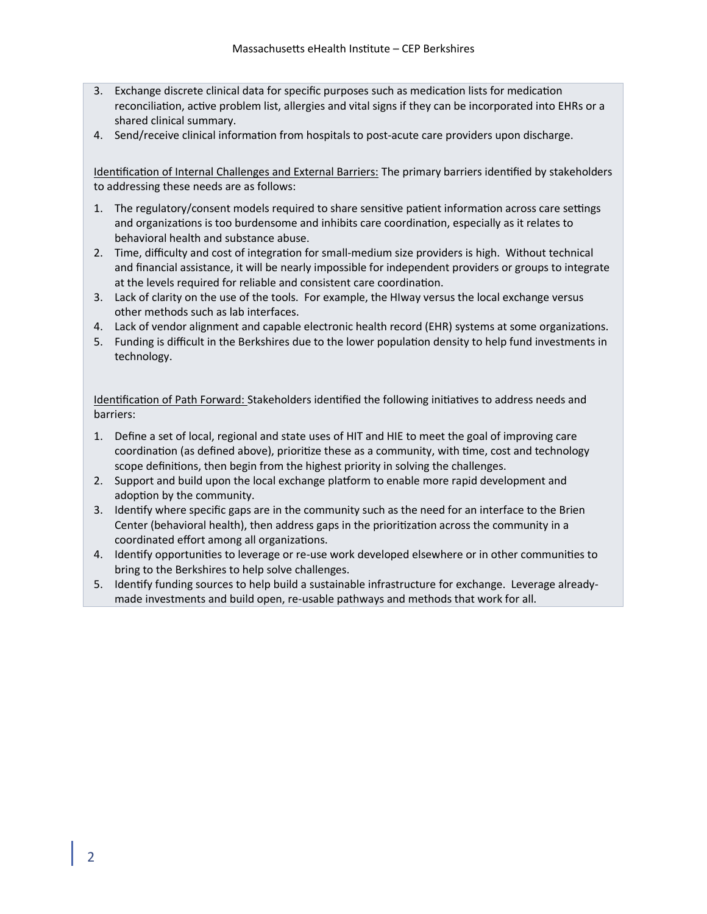- 3. Exchange discrete clinical data for specific purposes such as medication lists for medication reconciliation, active problem list, allergies and vital signs if they can be incorporated into EHRs or a shared clinical summary.
- 4. Send/receive clinical information from hospitals to post-acute care providers upon discharge.

Identification of Internal Challenges and External Barriers: The primary barriers identified by stakeholders to addressing these needs are as follows:

- 1. The regulatory/consent models required to share sensitive patient information across care settings and organizations is too burdensome and inhibits care coordination, especially as it relates to behavioral health and substance abuse.
- 2. Time, difficulty and cost of integration for small-medium size providers is high. Without technical and financial assistance, it will be nearly impossible for independent providers or groups to integrate at the levels required for reliable and consistent care coordination.
- 3. Lack of clarity on the use of the tools. For example, the HIway versus the local exchange versus other methods such as lab interfaces.
- 4. Lack of vendor alignment and capable electronic health record (EHR) systems at some organizations.
- 5. Funding is difficult in the Berkshires due to the lower population density to help fund investments in technology.

Identification of Path Forward: Stakeholders identified the following initiatives to address needs and barriers:

- 1. Define a set of local, regional and state uses of HIT and HIE to meet the goal of improving care coordination (as defined above), prioritize these as a community, with time, cost and technology scope definitions, then begin from the highest priority in solving the challenges.
- 2. Support and build upon the local exchange platform to enable more rapid development and adoption by the community.
- 3. Identify where specific gaps are in the community such as the need for an interface to the Brien Center (behavioral health), then address gaps in the prioritization across the community in a coordinated effort among all organizations.
- 4. Identify opportunities to leverage or re-use work developed elsewhere or in other communities to bring to the Berkshires to help solve challenges.
- 5. Identify funding sources to help build a sustainable infrastructure for exchange. Leverage alreadymade investments and build open, re-usable pathways and methods that work for all.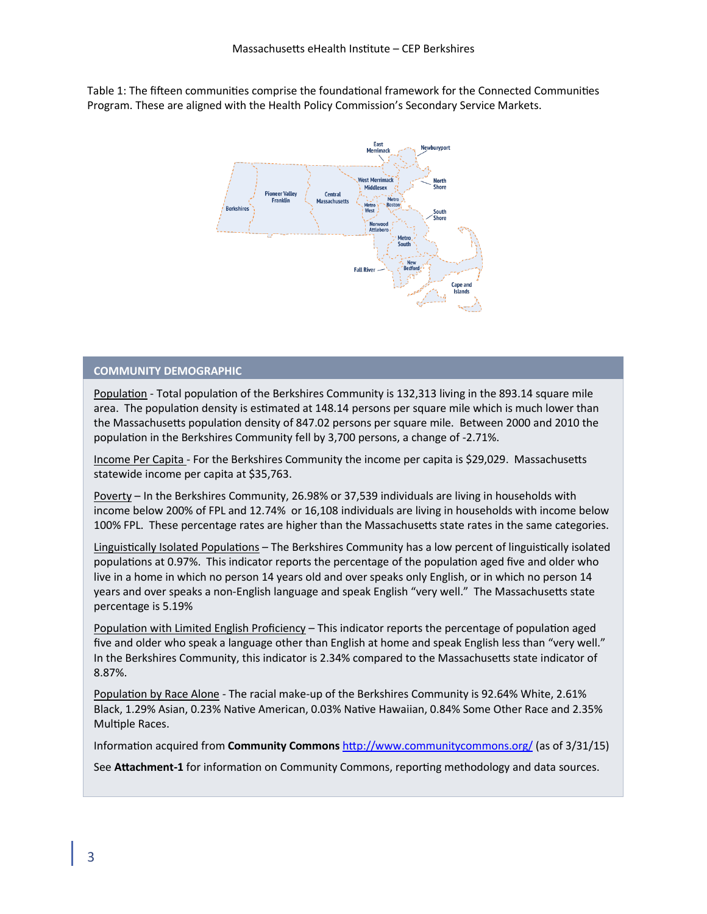Table 1: The fifteen communities comprise the foundational framework for the Connected Communities Program. These are aligned with the Health Policy Commission's Secondary Service Markets.



#### **COMMUNITY DEMOGRAPHIC**

Population - Total population of the Berkshires Community is 132,313 living in the 893.14 square mile area. The population density is estimated at 148.14 persons per square mile which is much lower than the Massachusetts population density of 847.02 persons per square mile. Between 2000 and 2010 the population in the Berkshires Community fell by 3,700 persons, a change of -2.71%.

Income Per Capita - For the Berkshires Community the income per capita is \$29,029. Massachusetts statewide income per capita at \$35,763.

Poverty – In the Berkshires Community, 26.98% or 37,539 individuals are living in households with income below 200% of FPL and 12.74% or 16,108 individuals are living in households with income below 100% FPL. These percentage rates are higher than the Massachusetts state rates in the same categories.

Linguistically Isolated Populations – The Berkshires Community has a low percent of linguistically isolated populations at 0.97%. This indicator reports the percentage of the population aged five and older who live in a home in which no person 14 years old and over speaks only English, or in which no person 14 years and over speaks a non-English language and speak English "very well." The Massachusetts state percentage is 5.19%

Population with Limited English Proficiency – This indicator reports the percentage of population aged five and older who speak a language other than English at home and speak English less than "very well." In the Berkshires Community, this indicator is 2.34% compared to the Massachusetts state indicator of 8.87%.

Population by Race Alone - The racial make-up of the Berkshires Community is 92.64% White, 2.61% Black, 1.29% Asian, 0.23% Native American, 0.03% Native Hawaiian, 0.84% Some Other Race and 2.35% Multiple Races.

Information acquired from **Community Commons** <http://www.communitycommons.org/> (as of 3/31/15)

See **Attachment-1** for information on Community Commons, reporting methodology and data sources.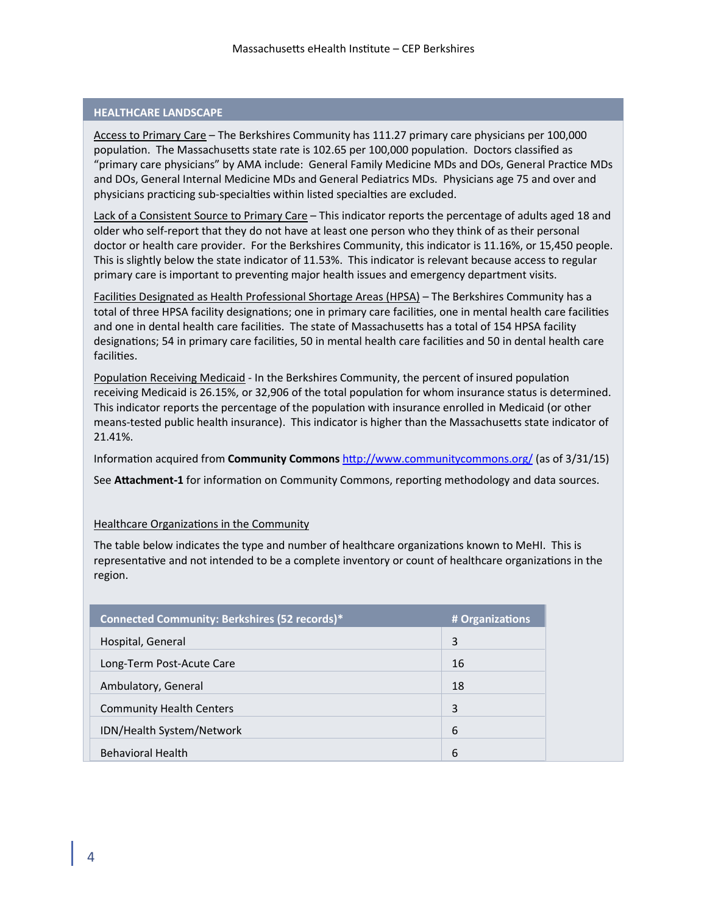## **HEALTHCARE LANDSCAPE**

Access to Primary Care – The Berkshires Community has 111.27 primary care physicians per 100,000 population. The Massachusetts state rate is 102.65 per 100,000 population. Doctors classified as "primary care physicians" by AMA include: General Family Medicine MDs and DOs, General Practice MDs and DOs, General Internal Medicine MDs and General Pediatrics MDs. Physicians age 75 and over and physicians practicing sub-specialties within listed specialties are excluded.

Lack of a Consistent Source to Primary Care – This indicator reports the percentage of adults aged 18 and older who self-report that they do not have at least one person who they think of as their personal doctor or health care provider. For the Berkshires Community, this indicator is 11.16%, or 15,450 people. This is slightly below the state indicator of 11.53%. This indicator is relevant because access to regular primary care is important to preventing major health issues and emergency department visits.

Facilities Designated as Health Professional Shortage Areas (HPSA) – The Berkshires Community has a total of three HPSA facility designations; one in primary care facilities, one in mental health care facilities and one in dental health care facilities. The state of Massachusetts has a total of 154 HPSA facility designations; 54 in primary care facilities, 50 in mental health care facilities and 50 in dental health care facilities.

Population Receiving Medicaid - In the Berkshires Community, the percent of insured population receiving Medicaid is 26.15%, or 32,906 of the total population for whom insurance status is determined. This indicator reports the percentage of the population with insurance enrolled in Medicaid (or other means-tested public health insurance). This indicator is higher than the Massachusetts state indicator of 21.41%.

Information acquired from **Community Commons** <http://www.communitycommons.org/> (as of 3/31/15)

See **Attachment-1** for information on Community Commons, reporting methodology and data sources.

### Healthcare Organizations in the Community

The table below indicates the type and number of healthcare organizations known to MeHI. This is representative and not intended to be a complete inventory or count of healthcare organizations in the region.

| Connected Community: Berkshires (52 records)* | # Organizations |
|-----------------------------------------------|-----------------|
| Hospital, General                             | 3               |
| Long-Term Post-Acute Care                     | 16              |
| Ambulatory, General                           | 18              |
| <b>Community Health Centers</b>               | 3               |
| IDN/Health System/Network                     | 6               |
| <b>Behavioral Health</b>                      | 6               |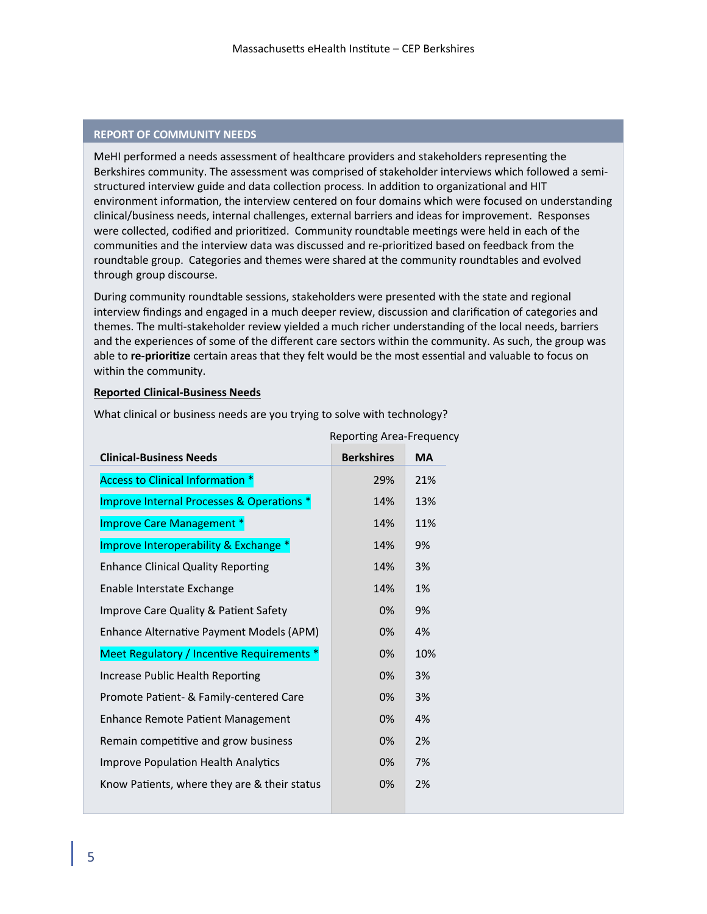### **REPORT OF COMMUNITY NEEDS**

MeHI performed a needs assessment of healthcare providers and stakeholders representing the Berkshires community. The assessment was comprised of stakeholder interviews which followed a semistructured interview guide and data collection process. In addition to organizational and HIT environment information, the interview centered on four domains which were focused on understanding clinical/business needs, internal challenges, external barriers and ideas for improvement. Responses were collected, codified and prioritized. Community roundtable meetings were held in each of the communities and the interview data was discussed and re-prioritized based on feedback from the roundtable group. Categories and themes were shared at the community roundtables and evolved through group discourse.

During community roundtable sessions, stakeholders were presented with the state and regional interview findings and engaged in a much deeper review, discussion and clarification of categories and themes. The multi-stakeholder review yielded a much richer understanding of the local needs, barriers and the experiences of some of the different care sectors within the community. As such, the group was able to **re-prioritize** certain areas that they felt would be the most essential and valuable to focus on within the community.

#### **Reported Clinical-Business Needs**

What clinical or business needs are you trying to solve with technology?

Reporting Area-Frequency

| <b>Clinical-Business Needs</b>               | <b>Berkshires</b> | <b>MA</b> |
|----------------------------------------------|-------------------|-----------|
| <b>Access to Clinical Information *</b>      | 29%               | 21%       |
| Improve Internal Processes & Operations *    | 14%               | 13%       |
| Improve Care Management *                    | 14%               | 11%       |
| Improve Interoperability & Exchange *        | 14%               | 9%        |
| <b>Enhance Clinical Quality Reporting</b>    | 14%               | 3%        |
| Enable Interstate Exchange                   | 14%               | 1%        |
| Improve Care Quality & Patient Safety        | 0%                | 9%        |
| Enhance Alternative Payment Models (APM)     | 0%                | 4%        |
| Meet Regulatory / Incentive Requirements *   | 0%                | 10%       |
| Increase Public Health Reporting             | 0%                | 3%        |
| Promote Patient- & Family-centered Care      | 0%                | 3%        |
| Enhance Remote Patient Management            | 0%                | 4%        |
| Remain competitive and grow business         | 0%                | 2%        |
| Improve Population Health Analytics          | 0%                | 7%        |
| Know Patients, where they are & their status | 0%                | 2%        |
|                                              |                   |           |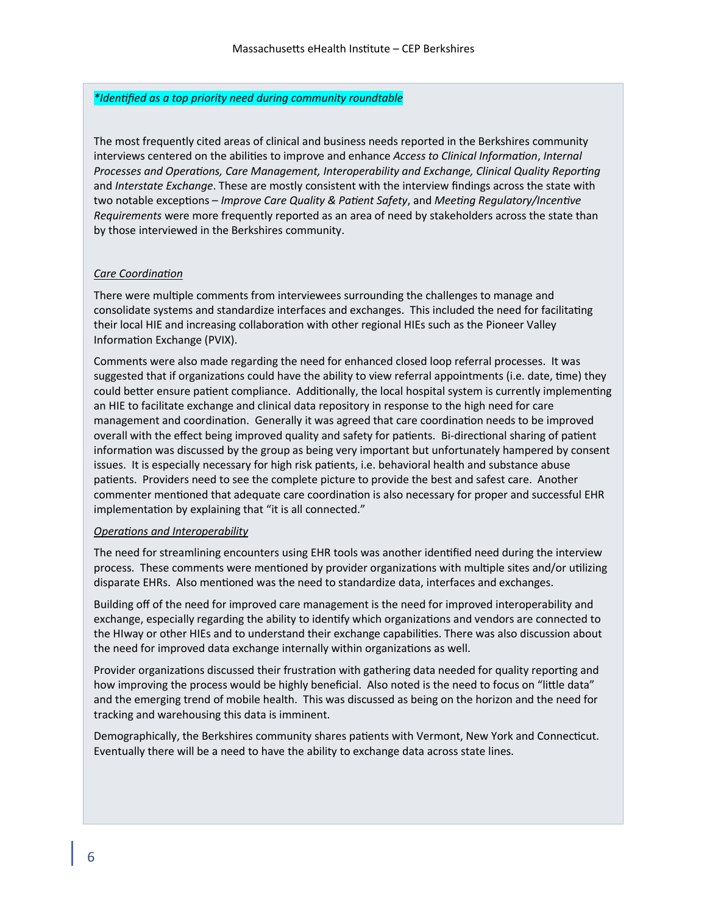### *\*Identified as a top priority need during community roundtable*

The most frequently cited areas of clinical and business needs reported in the Berkshires community interviews centered on the abilities to improve and enhance *Access to Clinical Information*, *Internal Processes and Operations, Care Management, Interoperability and Exchange, Clinical Quality Reporting* and *Interstate Exchange*. These are mostly consistent with the interview findings across the state with two notable exceptions – *Improve Care Quality & Patient Safety*, and *Meeting Regulatory/Incentive Requirements* were more frequently reported as an area of need by stakeholders across the state than by those interviewed in the Berkshires community.

### *Care Coordination*

There were multiple comments from interviewees surrounding the challenges to manage and consolidate systems and standardize interfaces and exchanges. This included the need for facilitating their local HIE and increasing collaboration with other regional HIEs such as the Pioneer Valley Information Exchange (PVIX).

Comments were also made regarding the need for enhanced closed loop referral processes. It was suggested that if organizations could have the ability to view referral appointments (i.e. date, time) they could better ensure patient compliance. Additionally, the local hospital system is currently implementing an HIE to facilitate exchange and clinical data repository in response to the high need for care management and coordination. Generally it was agreed that care coordination needs to be improved overall with the effect being improved quality and safety for patients. Bi-directional sharing of patient information was discussed by the group as being very important but unfortunately hampered by consent issues. It is especially necessary for high risk patients, i.e. behavioral health and substance abuse patients. Providers need to see the complete picture to provide the best and safest care. Another commenter mentioned that adequate care coordination is also necessary for proper and successful EHR implementation by explaining that "it is all connected."

#### *Operations and Interoperability*

The need for streamlining encounters using EHR tools was another identified need during the interview process. These comments were mentioned by provider organizations with multiple sites and/or utilizing disparate EHRs. Also mentioned was the need to standardize data, interfaces and exchanges.

Building off of the need for improved care management is the need for improved interoperability and exchange, especially regarding the ability to identify which organizations and vendors are connected to the HIway or other HIEs and to understand their exchange capabilities. There was also discussion about the need for improved data exchange internally within organizations as well.

Provider organizations discussed their frustration with gathering data needed for quality reporting and how improving the process would be highly beneficial. Also noted is the need to focus on "little data" and the emerging trend of mobile health. This was discussed as being on the horizon and the need for tracking and warehousing this data is imminent.

Demographically, the Berkshires community shares patients with Vermont, New York and Connecticut. Eventually there will be a need to have the ability to exchange data across state lines.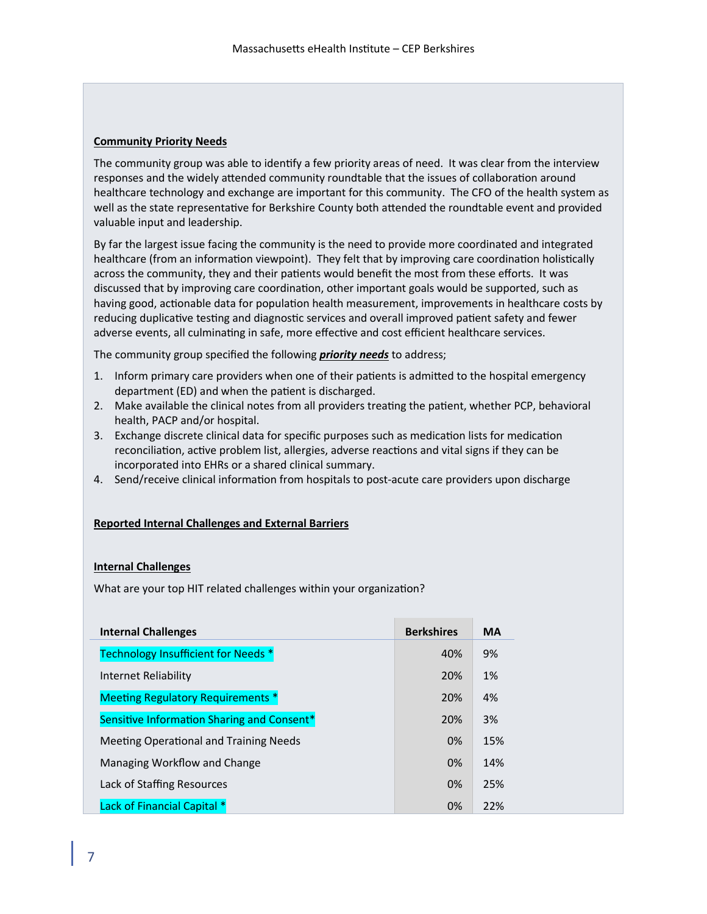# **Community Priority Needs**

The community group was able to identify a few priority areas of need. It was clear from the interview responses and the widely attended community roundtable that the issues of collaboration around healthcare technology and exchange are important for this community. The CFO of the health system as well as the state representative for Berkshire County both attended the roundtable event and provided valuable input and leadership.

By far the largest issue facing the community is the need to provide more coordinated and integrated healthcare (from an information viewpoint). They felt that by improving care coordination holistically across the community, they and their patients would benefit the most from these efforts. It was discussed that by improving care coordination, other important goals would be supported, such as having good, actionable data for population health measurement, improvements in healthcare costs by reducing duplicative testing and diagnostic services and overall improved patient safety and fewer adverse events, all culminating in safe, more effective and cost efficient healthcare services.

The community group specified the following *priority needs* to address;

- 1. Inform primary care providers when one of their patients is admitted to the hospital emergency department (ED) and when the patient is discharged.
- 2. Make available the clinical notes from all providers treating the patient, whether PCP, behavioral health, PACP and/or hospital.
- 3. Exchange discrete clinical data for specific purposes such as medication lists for medication reconciliation, active problem list, allergies, adverse reactions and vital signs if they can be incorporated into EHRs or a shared clinical summary.
- 4. Send/receive clinical information from hospitals to post-acute care providers upon discharge

### **Reported Internal Challenges and External Barriers**

### **Internal Challenges**

What are your top HIT related challenges within your organization?

| <b>Internal Challenges</b>                 | <b>Berkshires</b> | <b>MA</b> |
|--------------------------------------------|-------------------|-----------|
| Technology Insufficient for Needs *        | 40%               | 9%        |
| Internet Reliability                       | 20%               | 1%        |
| <b>Meeting Regulatory Requirements *</b>   | 20%               | 4%        |
| Sensitive Information Sharing and Consent* | 20%               | 3%        |
| Meeting Operational and Training Needs     | 0%                | 15%       |
| Managing Workflow and Change               | 0%                | 14%       |
| Lack of Staffing Resources                 | 0%                | 25%       |
| Lack of Financial Capital *                | 0%                | 22%       |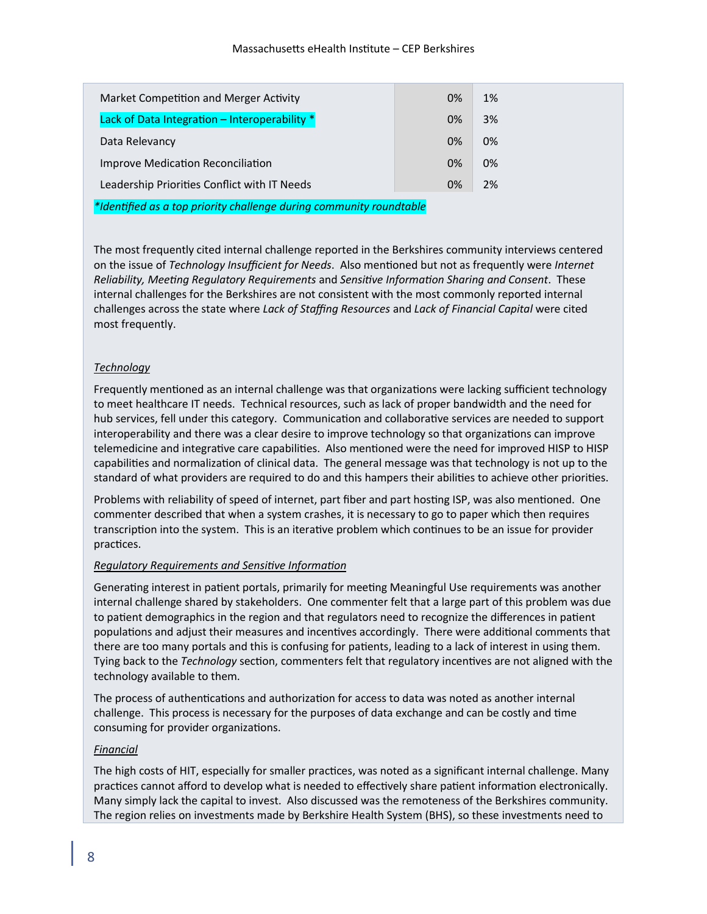| Market Competition and Merger Activity             | 0% | 1% |
|----------------------------------------------------|----|----|
| Lack of Data Integration - Interoperability *      | 0% | 3% |
| Data Relevancy                                     | 0% | 0% |
| Improve Medication Reconciliation                  | 0% | 0% |
| Leadership Priorities Conflict with IT Needs<br>0% |    | 2% |

*\*Identified as a top priority challenge during community roundtable*

The most frequently cited internal challenge reported in the Berkshires community interviews centered on the issue of *Technology Insufficient for Needs*. Also mentioned but not as frequently were *Internet Reliability, Meeting Regulatory Requirements* and *Sensitive Information Sharing and Consent*. These internal challenges for the Berkshires are not consistent with the most commonly reported internal challenges across the state where *Lack of Staffing Resources* and *Lack of Financial Capital* were cited most frequently.

# *Technology*

Frequently mentioned as an internal challenge was that organizations were lacking sufficient technology to meet healthcare IT needs. Technical resources, such as lack of proper bandwidth and the need for hub services, fell under this category. Communication and collaborative services are needed to support interoperability and there was a clear desire to improve technology so that organizations can improve telemedicine and integrative care capabilities. Also mentioned were the need for improved HISP to HISP capabilities and normalization of clinical data. The general message was that technology is not up to the standard of what providers are required to do and this hampers their abilities to achieve other priorities.

Problems with reliability of speed of internet, part fiber and part hosting ISP, was also mentioned. One commenter described that when a system crashes, it is necessary to go to paper which then requires transcription into the system. This is an iterative problem which continues to be an issue for provider practices.

### *Regulatory Requirements and Sensitive Information*

Generating interest in patient portals, primarily for meeting Meaningful Use requirements was another internal challenge shared by stakeholders. One commenter felt that a large part of this problem was due to patient demographics in the region and that regulators need to recognize the differences in patient populations and adjust their measures and incentives accordingly. There were additional comments that there are too many portals and this is confusing for patients, leading to a lack of interest in using them. Tying back to the *Technology* section, commenters felt that regulatory incentives are not aligned with the technology available to them.

The process of authentications and authorization for access to data was noted as another internal challenge. This process is necessary for the purposes of data exchange and can be costly and time consuming for provider organizations.

### *Financial*

The high costs of HIT, especially for smaller practices, was noted as a significant internal challenge. Many practices cannot afford to develop what is needed to effectively share patient information electronically. Many simply lack the capital to invest. Also discussed was the remoteness of the Berkshires community. The region relies on investments made by Berkshire Health System (BHS), so these investments need to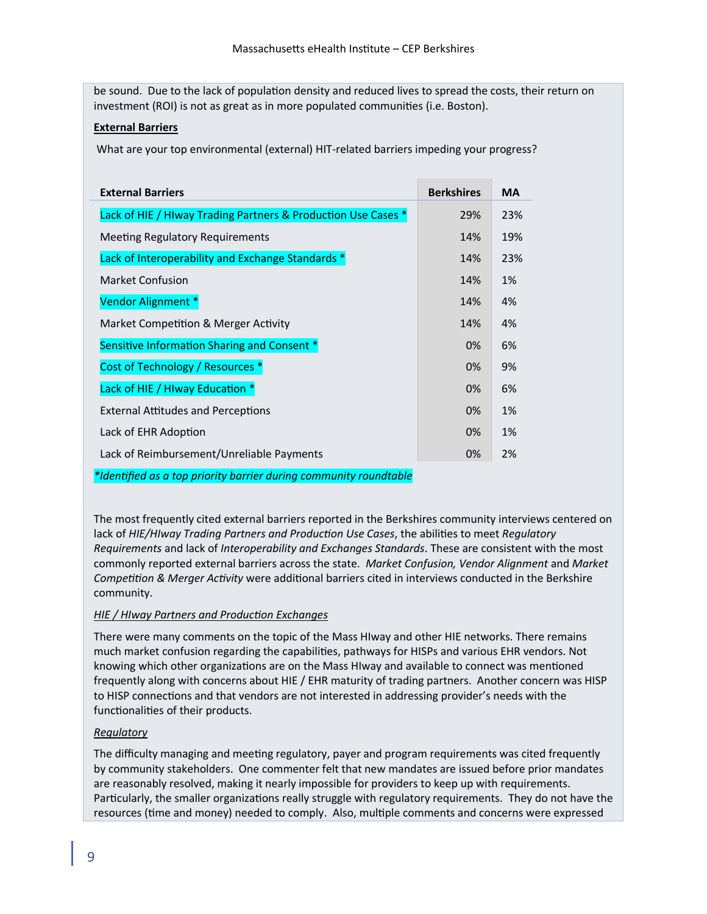be sound. Due to the lack of population density and reduced lives to spread the costs, their return on investment (ROI) is not as great as in more populated communities (i.e. Boston).

# **External Barriers**

What are your top environmental (external) HIT-related barriers impeding your progress?

| <b>External Barriers</b>                                      | <b>Berkshires</b> | <b>MA</b> |
|---------------------------------------------------------------|-------------------|-----------|
| Lack of HIE / HIway Trading Partners & Production Use Cases * | 29%               | 23%       |
| <b>Meeting Regulatory Requirements</b>                        | 14%               | 19%       |
| Lack of Interoperability and Exchange Standards *             | 14%               | 23%       |
| <b>Market Confusion</b>                                       | 14%               | 1%        |
| Vendor Alignment *                                            | 14%               | 4%        |
| Market Competition & Merger Activity                          | 14%               | 4%        |
| Sensitive Information Sharing and Consent *                   | 0%                | 6%        |
| Cost of Technology / Resources *                              | 0%                | 9%        |
| Lack of HIE / HIway Education *                               | 0%                | 6%        |
| <b>External Attitudes and Perceptions</b>                     | 0%                | 1%        |
| Lack of EHR Adoption                                          | 0%                | 1%        |
| Lack of Reimbursement/Unreliable Payments                     | 0%                | 2%        |

*\*Identified as a top priority barrier during community roundtable*

The most frequently cited external barriers reported in the Berkshires community interviews centered on lack of *HIE/HIway Trading Partners and Production Use Cases*, the abilities to meet *Regulatory Requirements* and lack of *Interoperability and Exchanges Standards*. These are consistent with the most commonly reported external barriers across the state. *Market Confusion, Vendor Alignment* and *Market Competition & Merger Activity* were additional barriers cited in interviews conducted in the Berkshire community.

# *HIE / HIway Partners and Production Exchanges*

There were many comments on the topic of the Mass HIway and other HIE networks. There remains much market confusion regarding the capabilities, pathways for HISPs and various EHR vendors. Not knowing which other organizations are on the Mass HIway and available to connect was mentioned frequently along with concerns about HIE / EHR maturity of trading partners. Another concern was HISP to HISP connections and that vendors are not interested in addressing provider's needs with the functionalities of their products.

# *Regulatory*

The difficulty managing and meeting regulatory, payer and program requirements was cited frequently by community stakeholders. One commenter felt that new mandates are issued before prior mandates are reasonably resolved, making it nearly impossible for providers to keep up with requirements. Particularly, the smaller organizations really struggle with regulatory requirements. They do not have the resources (time and money) needed to comply. Also, multiple comments and concerns were expressed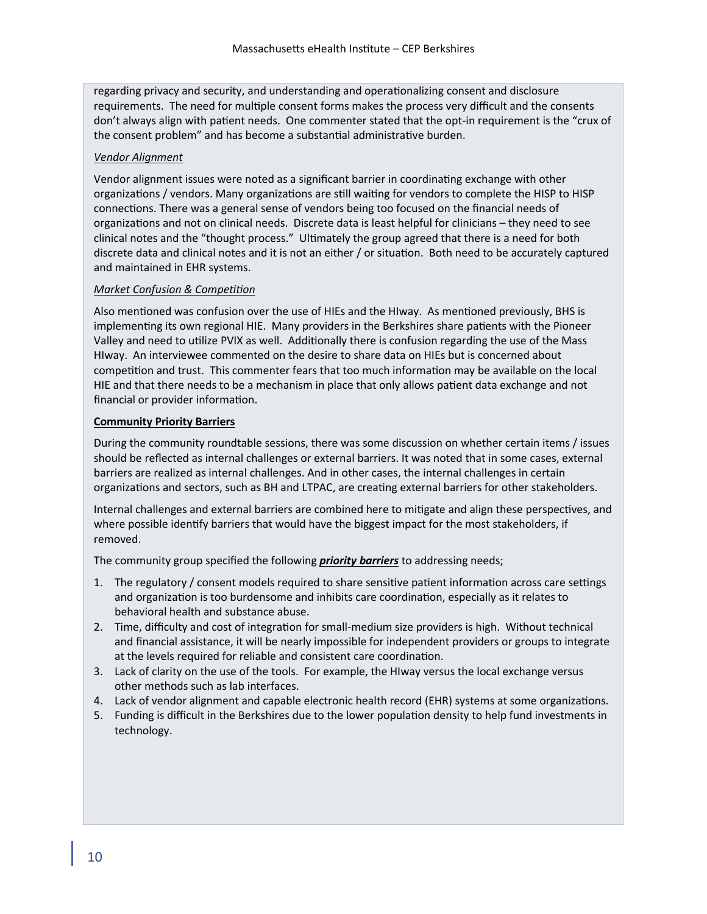regarding privacy and security, and understanding and operationalizing consent and disclosure requirements. The need for multiple consent forms makes the process very difficult and the consents don't always align with patient needs. One commenter stated that the opt-in requirement is the "crux of the consent problem" and has become a substantial administrative burden.

# *Vendor Alignment*

Vendor alignment issues were noted as a significant barrier in coordinating exchange with other organizations / vendors. Many organizations are still waiting for vendors to complete the HISP to HISP connections. There was a general sense of vendors being too focused on the financial needs of organizations and not on clinical needs. Discrete data is least helpful for clinicians – they need to see clinical notes and the "thought process." Ultimately the group agreed that there is a need for both discrete data and clinical notes and it is not an either / or situation. Both need to be accurately captured and maintained in EHR systems.

# *Market Confusion & Competition*

Also mentioned was confusion over the use of HIEs and the HIway. As mentioned previously, BHS is implementing its own regional HIE. Many providers in the Berkshires share patients with the Pioneer Valley and need to utilize PVIX as well. Additionally there is confusion regarding the use of the Mass HIway. An interviewee commented on the desire to share data on HIEs but is concerned about competition and trust. This commenter fears that too much information may be available on the local HIE and that there needs to be a mechanism in place that only allows patient data exchange and not financial or provider information.

# **Community Priority Barriers**

During the community roundtable sessions, there was some discussion on whether certain items / issues should be reflected as internal challenges or external barriers. It was noted that in some cases, external barriers are realized as internal challenges. And in other cases, the internal challenges in certain organizations and sectors, such as BH and LTPAC, are creating external barriers for other stakeholders.

Internal challenges and external barriers are combined here to mitigate and align these perspectives, and where possible identify barriers that would have the biggest impact for the most stakeholders, if removed.

The community group specified the following *priority barriers* to addressing needs;

- 1. The regulatory / consent models required to share sensitive patient information across care settings and organization is too burdensome and inhibits care coordination, especially as it relates to behavioral health and substance abuse.
- 2. Time, difficulty and cost of integration for small-medium size providers is high. Without technical and financial assistance, it will be nearly impossible for independent providers or groups to integrate at the levels required for reliable and consistent care coordination.
- 3. Lack of clarity on the use of the tools. For example, the HIway versus the local exchange versus other methods such as lab interfaces.
- 4. Lack of vendor alignment and capable electronic health record (EHR) systems at some organizations.
- 5. Funding is difficult in the Berkshires due to the lower population density to help fund investments in technology.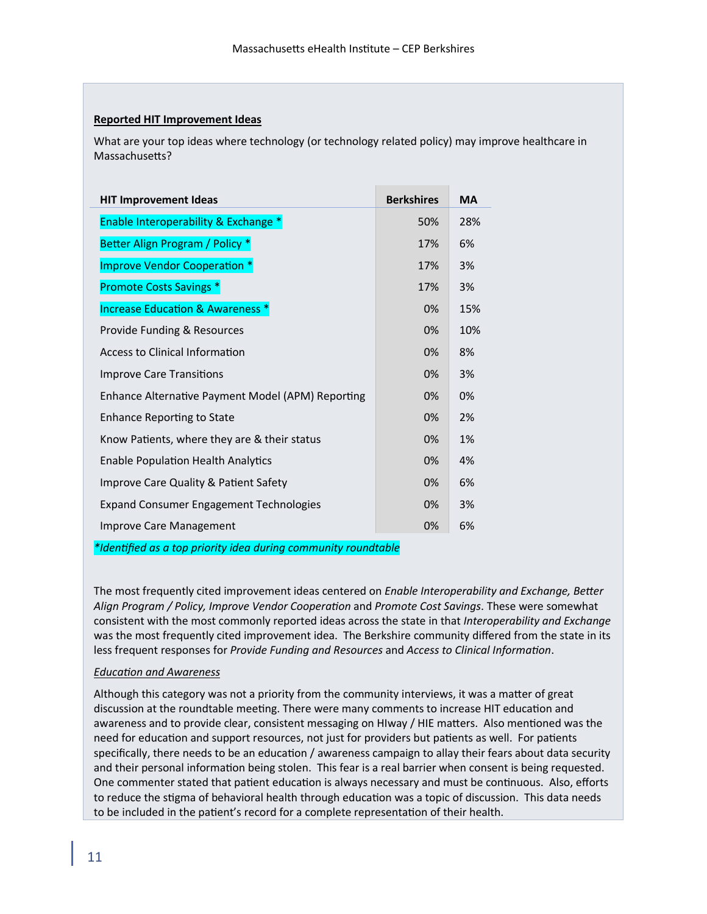### **Reported HIT Improvement Ideas**

What are your top ideas where technology (or technology related policy) may improve healthcare in Massachusetts?

| <b>HIT Improvement Ideas</b>                      | <b>Berkshires</b> | <b>MA</b> |
|---------------------------------------------------|-------------------|-----------|
| Enable Interoperability & Exchange *              | 50%               | 28%       |
| Better Align Program / Policy *                   | 17%               | 6%        |
| Improve Vendor Cooperation *                      | 17%               | 3%        |
| <b>Promote Costs Savings *</b>                    | 17%               | 3%        |
| <b>Increase Education &amp; Awareness *</b>       | 0%                | 15%       |
| Provide Funding & Resources                       | 0%                | 10%       |
| <b>Access to Clinical Information</b>             | 0%                | 8%        |
| <b>Improve Care Transitions</b>                   | 0%                | 3%        |
| Enhance Alternative Payment Model (APM) Reporting | 0%                | 0%        |
| Enhance Reporting to State                        | 0%                | 2%        |
| Know Patients, where they are & their status      | 0%                | 1%        |
| <b>Enable Population Health Analytics</b>         | 0%                | 4%        |
| Improve Care Quality & Patient Safety             | 0%                | 6%        |
| <b>Expand Consumer Engagement Technologies</b>    | 0%                | 3%        |
| Improve Care Management                           | 0%                | 6%        |

*\*Identified as a top priority idea during community roundtable*

The most frequently cited improvement ideas centered on *Enable Interoperability and Exchange, Better Align Program / Policy, Improve Vendor Cooperation* and *Promote Cost Savings*. These were somewhat consistent with the most commonly reported ideas across the state in that *Interoperability and Exchange*  was the most frequently cited improvement idea. The Berkshire community differed from the state in its less frequent responses for *Provide Funding and Resources* and *Access to Clinical Information*.

### *Education and Awareness*

Although this category was not a priority from the community interviews, it was a matter of great discussion at the roundtable meeting. There were many comments to increase HIT education and awareness and to provide clear, consistent messaging on HIway / HIE matters. Also mentioned was the need for education and support resources, not just for providers but patients as well. For patients specifically, there needs to be an education / awareness campaign to allay their fears about data security and their personal information being stolen. This fear is a real barrier when consent is being requested. One commenter stated that patient education is always necessary and must be continuous. Also, efforts to reduce the stigma of behavioral health through education was a topic of discussion. This data needs to be included in the patient's record for a complete representation of their health.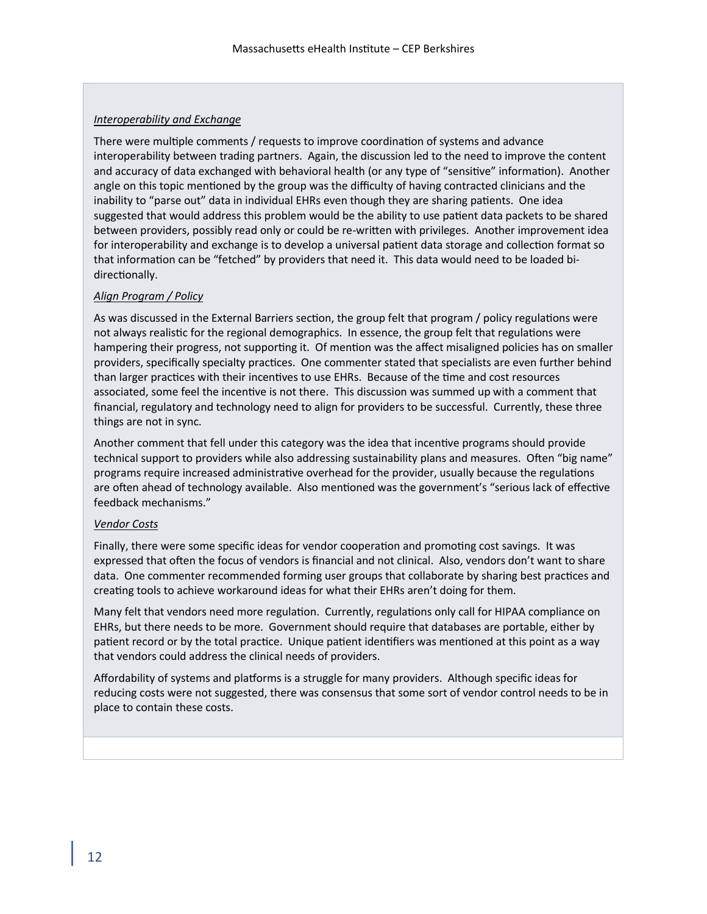## *Interoperability and Exchange*

There were multiple comments / requests to improve coordination of systems and advance interoperability between trading partners. Again, the discussion led to the need to improve the content and accuracy of data exchanged with behavioral health (or any type of "sensitive" information).Another angle on this topic mentioned by the group was the difficulty of having contracted clinicians and the inability to "parse out" data in individual EHRs even though they are sharing patients. One idea suggested that would address this problem would be the ability to use patient data packets to be shared between providers, possibly read only or could be re-written with privileges. Another improvement idea for interoperability and exchange is to develop a universal patient data storage and collection format so that information can be "fetched" by providers that need it. This data would need to be loaded bidirectionally.

# *Align Program / Policy*

As was discussed in the External Barriers section, the group felt that program / policy regulations were not always realistic for the regional demographics. In essence, the group felt that regulations were hampering their progress, not supporting it. Of mention was the affect misaligned policies has on smaller providers, specifically specialty practices. One commenter stated that specialists are even further behind than larger practices with their incentives to use EHRs. Because of the time and cost resources associated, some feel the incentive is not there. This discussion was summed up with a comment that financial, regulatory and technology need to align for providers to be successful. Currently, these three things are not in sync.

Another comment that fell under this category was the idea that incentive programs should provide technical support to providers while also addressing sustainability plans and measures. Often "big name" programs require increased administrative overhead for the provider, usually because the regulations are often ahead of technology available. Also mentioned was the government's "serious lack of effective feedback mechanisms."

### *Vendor Costs*

Finally, there were some specific ideas for vendor cooperation and promoting cost savings. It was expressed that often the focus of vendors is financial and not clinical. Also, vendors don't want to share data. One commenter recommended forming user groups that collaborate by sharing best practices and creating tools to achieve workaround ideas for what their EHRs aren't doing for them.

Many felt that vendors need more regulation. Currently, regulations only call for HIPAA compliance on EHRs, but there needs to be more. Government should require that databases are portable, either by patient record or by the total practice. Unique patient identifiers was mentioned at this point as a way that vendors could address the clinical needs of providers.

Affordability of systems and platforms is a struggle for many providers. Although specific ideas for reducing costs were not suggested, there was consensus that some sort of vendor control needs to be in place to contain these costs.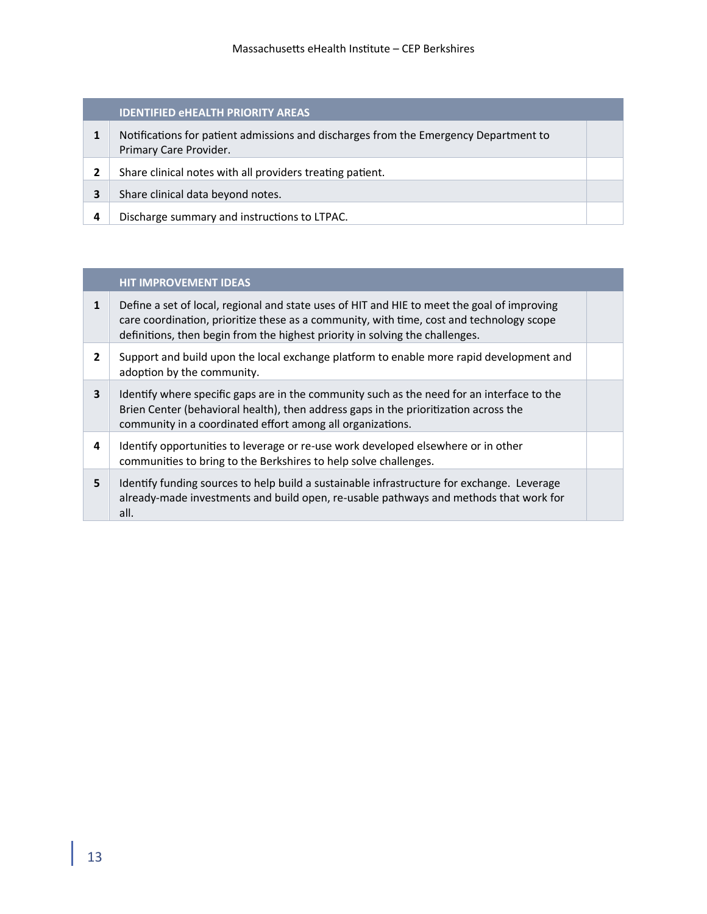# **IDENTIFIED eHEALTH PRIORITY AREAS**

- **1** Notifications for patient admissions and discharges from the Emergency Department to Primary Care Provider.
- **2** Share clinical notes with all providers treating patient.
- **3** Share clinical data beyond notes.
- **4** Discharge summary and instructions to LTPAC.

# **HIT IMPROVEMENT IDEAS**

| 1              | Define a set of local, regional and state uses of HIT and HIE to meet the goal of improving<br>care coordination, prioritize these as a community, with time, cost and technology scope<br>definitions, then begin from the highest priority in solving the challenges. |  |
|----------------|-------------------------------------------------------------------------------------------------------------------------------------------------------------------------------------------------------------------------------------------------------------------------|--|
| $\overline{2}$ | Support and build upon the local exchange platform to enable more rapid development and<br>adoption by the community.                                                                                                                                                   |  |
| 3              | Identify where specific gaps are in the community such as the need for an interface to the<br>Brien Center (behavioral health), then address gaps in the prioritization across the<br>community in a coordinated effort among all organizations.                        |  |
| 4              | Identify opportunities to leverage or re-use work developed elsewhere or in other<br>communities to bring to the Berkshires to help solve challenges.                                                                                                                   |  |
| 5              | Identify funding sources to help build a sustainable infrastructure for exchange. Leverage<br>already-made investments and build open, re-usable pathways and methods that work for<br>all.                                                                             |  |